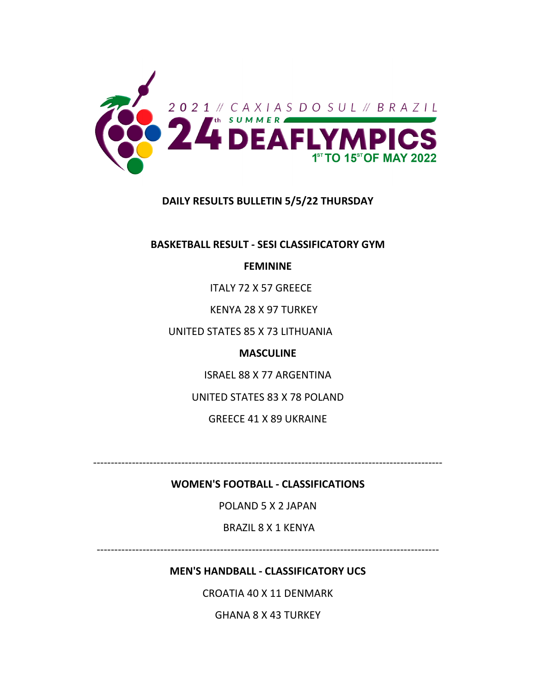

# **DAILY RESULTS BULLETIN 5/5/22 THURSDAY**

**BASKETBALL RESULT ‐ SESI CLASSIFICATORY GYM**

## **FEMININE**

ITALY 72 X 57 GREECE

KENYA 28 X 97 TURKEY

UNITED STATES 85 X 73 LITHUANIA

### **MASCULINE**

ISRAEL 88 X 77 ARGENTINA

UNITED STATES 83 X 78 POLAND

GREECE 41 X 89 UKRAINE

‐‐‐‐‐‐‐‐‐‐‐‐‐‐‐‐‐‐‐‐‐‐‐‐‐‐‐‐‐‐‐‐‐‐‐‐‐‐‐‐‐‐‐‐‐‐‐‐‐‐‐‐‐‐‐‐‐‐‐‐‐‐‐‐‐‐‐‐‐‐‐‐‐‐‐‐‐‐‐‐‐‐‐‐‐‐‐‐‐‐‐‐‐‐‐‐‐‐‐

## **WOMEN'S FOOTBALL ‐ CLASSIFICATIONS**

POLAND 5 X 2 JAPAN

BRAZIL 8 X 1 KENYA

‐‐‐‐‐‐‐‐‐‐‐‐‐‐‐‐‐‐‐‐‐‐‐‐‐‐‐‐‐‐‐‐‐‐‐‐‐‐‐‐‐‐‐‐‐‐‐‐‐‐‐‐‐‐‐‐‐‐‐‐‐‐‐‐‐‐‐‐‐‐‐‐‐‐‐‐‐‐‐‐‐‐‐‐‐‐‐‐‐‐‐‐‐‐‐‐‐

## **MEN'S HANDBALL ‐ CLASSIFICATORY UCS**

CROATIA 40 X 11 DENMARK

GHANA 8 X 43 TURKEY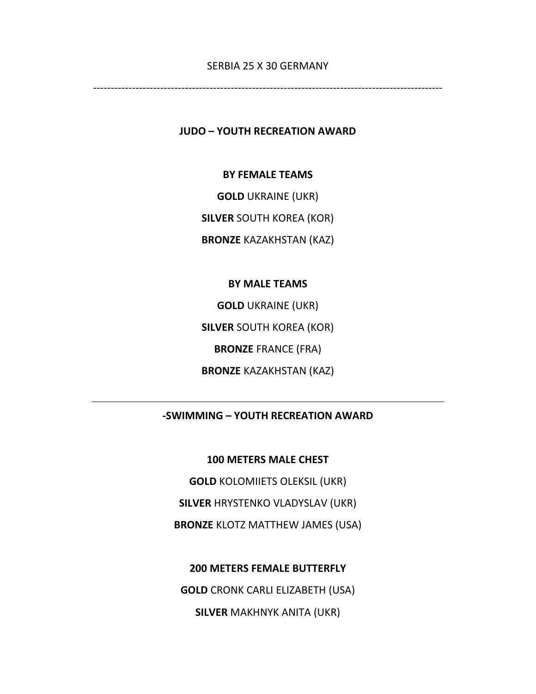### SERBIA 25 X 30 GERMANY

‐‐‐‐‐‐‐‐‐‐‐‐‐‐‐‐‐‐‐‐‐‐‐‐‐‐‐‐‐‐‐‐‐‐‐‐‐‐‐‐‐‐‐‐‐‐‐‐‐‐‐‐‐‐‐‐‐‐‐‐‐‐‐‐‐‐‐‐‐‐‐‐‐‐‐‐‐‐‐‐‐‐‐‐‐‐‐‐‐‐‐‐‐‐‐‐‐‐‐

**JUDO – YOUTH RECREATION AWARD**

**BY FEMALE TEAMS**

**GOLD** UKRAINE (UKR)

**SILVER** SOUTH KOREA (KOR)

**BRONZE** KAZAKHSTAN (KAZ)

### **BY MALE TEAMS**

**GOLD** UKRAINE (UKR) **SILVER** SOUTH KOREA (KOR) **BRONZE** FRANCE (FRA) **BRONZE** KAZAKHSTAN (KAZ)

# **‐SWIMMING – YOUTH RECREATION AWARD**

**100 METERS MALE CHEST**

**GOLD** KOLOMIIETS OLEKSIL (UKR) **SILVER** HRYSTENKO VLADYSLAV (UKR) **BRONZE** KLOTZ MATTHEW JAMES (USA)

**200 METERS FEMALE BUTTERFLY GOLD** CRONK CARLI ELIZABETH (USA) **SILVER** MAKHNYK ANITA (UKR)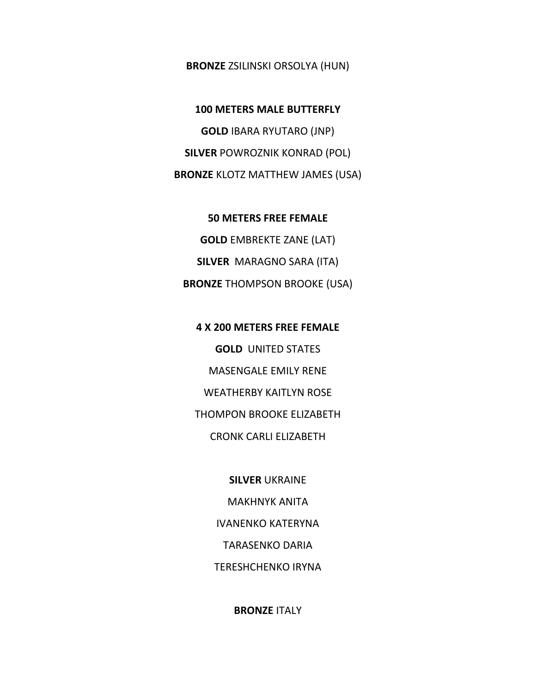### **BRONZE** ZSILINSKI ORSOLYA (HUN)

**100 METERS MALE BUTTERFLY GOLD** IBARA RYUTARO (JNP) **SILVER** POWROZNIK KONRAD (POL) **BRONZE** KLOTZ MATTHEW JAMES (USA)

**50 METERS FREE FEMALE GOLD** EMBREKTE ZANE (LAT) **SILVER** MARAGNO SARA (ITA) **BRONZE** THOMPSON BROOKE (USA)

**4 X 200 METERS FREE FEMALE GOLD** UNITED STATES MASENGALE EMILY RENE WEATHERBY KAITLYN ROSE THOMPON BROOKE ELIZABETH CRONK CARLI ELIZABETH

> **SILVER** UKRAINE MAKHNYK ANITA IVANENKO KATERYNA TARASENKO DARIA TERESHCHENKO IRYNA

> > **BRONZE** ITALY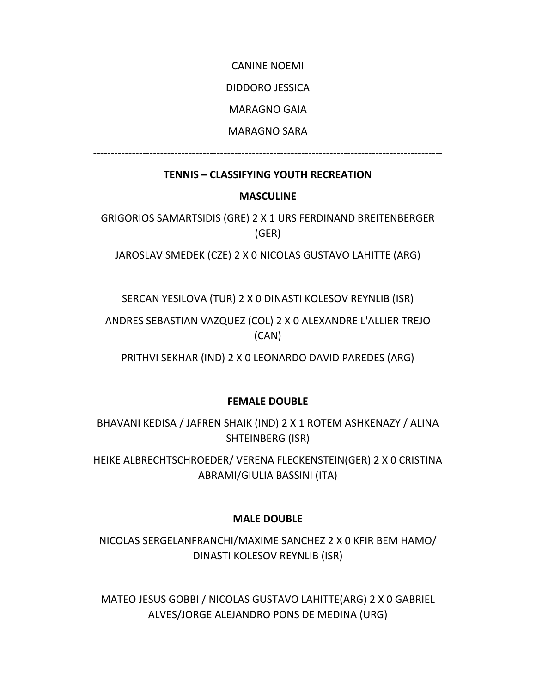CANINE NOEMI

DIDDORO JESSICA

MARAGNO GAIA

MARAGNO SARA

‐‐‐‐‐‐‐‐‐‐‐‐‐‐‐‐‐‐‐‐‐‐‐‐‐‐‐‐‐‐‐‐‐‐‐‐‐‐‐‐‐‐‐‐‐‐‐‐‐‐‐‐‐‐‐‐‐‐‐‐‐‐‐‐‐‐‐‐‐‐‐‐‐‐‐‐‐‐‐‐‐‐‐‐‐‐‐‐‐‐‐‐‐‐‐‐‐‐‐

# **TENNIS – CLASSIFYING YOUTH RECREATION**

# **MASCULINE**

GRIGORIOS SAMARTSIDIS (GRE) 2 X 1 URS FERDINAND BREITENBERGER (GER)

JAROSLAV SMEDEK (CZE) 2 X 0 NICOLAS GUSTAVO LAHITTE (ARG)

SERCAN YESILOVA (TUR) 2 X 0 DINASTI KOLESOV REYNLIB (ISR)

ANDRES SEBASTIAN VAZQUEZ (COL) 2 X 0 ALEXANDRE L'ALLIER TREJO (CAN)

PRITHVI SEKHAR (IND) 2 X 0 LEONARDO DAVID PAREDES (ARG)

# **FEMALE DOUBLE**

BHAVANI KEDISA / JAFREN SHAIK (IND) 2 X 1 ROTEM ASHKENAZY / ALINA SHTEINBERG (ISR)

HEIKE ALBRECHTSCHROEDER/ VERENA FLECKENSTEIN(GER) 2 X 0 CRISTINA ABRAMI/GIULIA BASSINI (ITA)

# **MALE DOUBLE**

NICOLAS SERGELANFRANCHI/MAXIME SANCHEZ 2 X 0 KFIR BEM HAMO/ DINASTI KOLESOV REYNLIB (ISR)

MATEO JESUS GOBBI / NICOLAS GUSTAVO LAHITTE(ARG) 2 X 0 GABRIEL ALVES/JORGE ALEJANDRO PONS DE MEDINA (URG)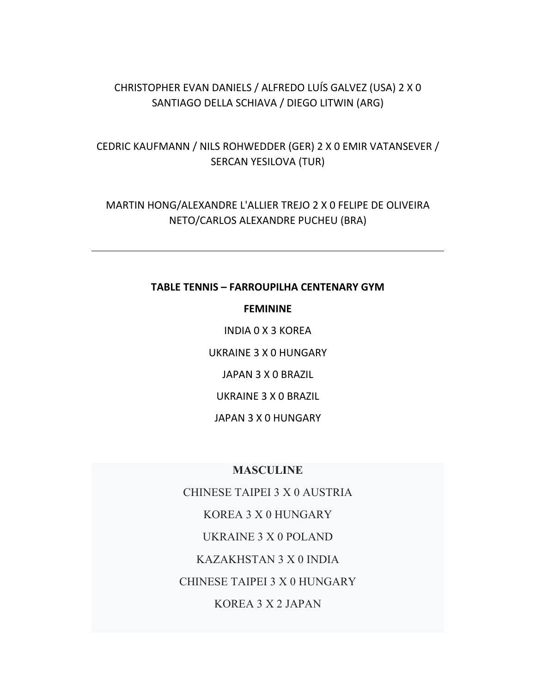# CHRISTOPHER EVAN DANIELS / ALFREDO LUÍS GALVEZ (USA) 2 X 0 SANTIAGO DELLA SCHIAVA / DIEGO LITWIN (ARG)

# CEDRIC KAUFMANN / NILS ROHWEDDER (GER) 2 X 0 EMIR VATANSEVER / SERCAN YESILOVA (TUR)

# MARTIN HONG/ALEXANDRE L'ALLIER TREJO 2 X 0 FELIPE DE OLIVEIRA NETO/CARLOS ALEXANDRE PUCHEU (BRA)

### **TABLE TENNIS – FARROUPILHA CENTENARY GYM**

### **FEMININE**

INDIA 0 X 3 KOREA UKRAINE 3 X 0 HUNGARY JAPAN 3 X 0 BRAZIL UKRAINE 3 X 0 BRAZIL JAPAN 3 X 0 HUNGARY

### **MASCULINE**

CHINESE TAIPEI 3 X 0 AUSTRIA KOREA 3 X 0 HUNGARY UKRAINE 3 X 0 POLAND KAZAKHSTAN 3 X 0 INDIA CHINESE TAIPEI 3 X 0 HUNGARY KOREA 3 X 2 JAPAN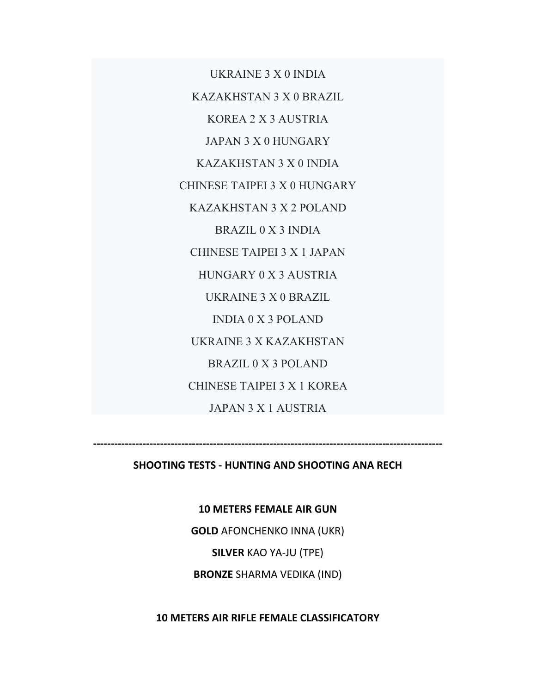UKRAINE 3 X 0 INDIA KAZAKHSTAN 3 X 0 BRAZIL KOREA 2 X 3 AUSTRIA JAPAN 3 X 0 HUNGARY KAZAKHSTAN 3 X 0 INDIA CHINESE TAIPEI 3 X 0 HUNGARY KAZAKHSTAN 3 X 2 POLAND BRAZIL 0 X 3 INDIA CHINESE TAIPEI 3 X 1 JAPAN HUNGARY 0 X 3 AUSTRIA UKRAINE 3 X 0 BRAZIL INDIA 0 X 3 POLAND UKRAINE 3 X KAZAKHSTAN BRAZIL 0 X 3 POLAND CHINESE TAIPEI 3 X 1 KOREA JAPAN 3 X 1 AUSTRIA

**SHOOTING TESTS ‐ HUNTING AND SHOOTING ANA RECH**

**‐‐‐‐‐‐‐‐‐‐‐‐‐‐‐‐‐‐‐‐‐‐‐‐‐‐‐‐‐‐‐‐‐‐‐‐‐‐‐‐‐‐‐‐‐‐‐‐‐‐‐‐‐‐‐‐‐‐‐‐‐‐‐‐‐‐‐‐‐‐‐‐‐‐‐‐‐‐‐‐‐‐‐‐‐‐‐‐‐‐‐‐‐‐‐‐‐‐‐** 

**10 METERS FEMALE AIR GUN**

**GOLD** AFONCHENKO INNA (UKR)

**SILVER** KAO YA‐JU (TPE)

**BRONZE** SHARMA VEDIKA (IND)

**10 METERS AIR RIFLE FEMALE CLASSIFICATORY**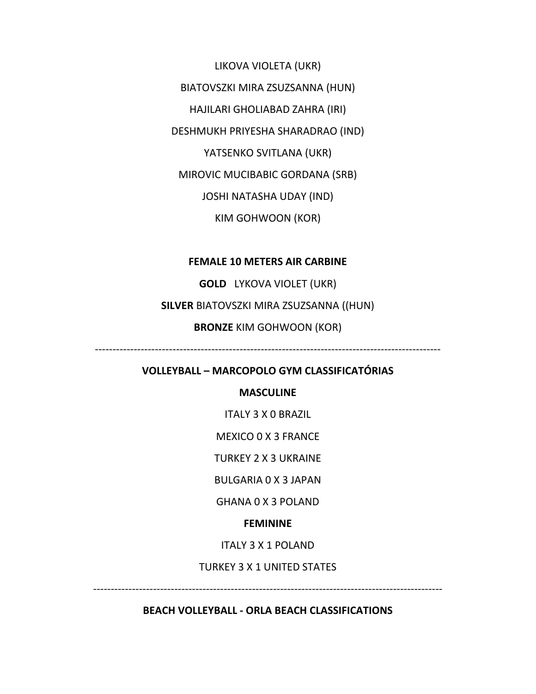LIKOVA VIOLETA (UKR)

BIATOVSZKI MIRA ZSUZSANNA (HUN)

HAJILARI GHOLIABAD ZAHRA (IRI)

DESHMUKH PRIYESHA SHARADRAO (IND)

YATSENKO SVITLANA (UKR)

MIROVIC MUCIBABIC GORDANA (SRB)

JOSHI NATASHA UDAY (IND)

KIM GOHWOON (KOR)

## **FEMALE 10 METERS AIR CARBINE**

**GOLD** LYKOVA VIOLET (UKR)

**SILVER** BIATOVSZKI MIRA ZSUZSANNA ((HUN)

**BRONZE** KIM GOHWOON (KOR)

‐‐‐‐‐‐‐‐‐‐‐‐‐‐‐‐‐‐‐‐‐‐‐‐‐‐‐‐‐‐‐‐‐‐‐‐‐‐‐‐‐‐‐‐‐‐‐‐‐‐‐‐‐‐‐‐‐‐‐‐‐‐‐‐‐‐‐‐‐‐‐‐‐‐‐‐‐‐‐‐‐‐‐‐‐‐‐‐‐‐‐‐‐‐‐‐‐‐

# **VOLLEYBALL – MARCOPOLO GYM CLASSIFICATÓRIAS**

## **MASCULINE**

ITALY 3 X 0 BRAZIL

MEXICO 0 X 3 FRANCE

TURKEY 2 X 3 UKRAINE

BULGARIA 0 X 3 JAPAN

GHANA 0 X 3 POLAND

### **FEMININE**

ITALY 3 X 1 POLAND

TURKEY 3 X 1 UNITED STATES

‐‐‐‐‐‐‐‐‐‐‐‐‐‐‐‐‐‐‐‐‐‐‐‐‐‐‐‐‐‐‐‐‐‐‐‐‐‐‐‐‐‐‐‐‐‐‐‐‐‐‐‐‐‐‐‐‐‐‐‐‐‐‐‐‐‐‐‐‐‐‐‐‐‐‐‐‐‐‐‐‐‐‐‐‐‐‐‐‐‐‐‐‐‐‐‐‐‐‐

**BEACH VOLLEYBALL ‐ ORLA BEACH CLASSIFICATIONS**